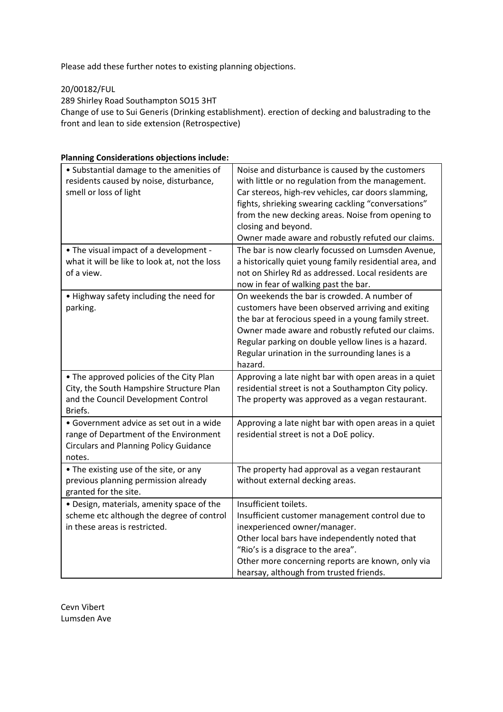Please add these further notes to existing planning objections.

20/00182/FUL

289 Shirley Road Southampton SO15 3HT

Change of use to Sui Generis (Drinking establishment). erection of decking and balustrading to the front and lean to side extension (Retrospective)

| • Substantial damage to the amenities of<br>residents caused by noise, disturbance,<br>smell or loss of light                                 | Noise and disturbance is caused by the customers<br>with little or no regulation from the management.<br>Car stereos, high-rev vehicles, car doors slamming,<br>fights, shrieking swearing cackling "conversations"<br>from the new decking areas. Noise from opening to<br>closing and beyond.<br>Owner made aware and robustly refuted our claims. |
|-----------------------------------------------------------------------------------------------------------------------------------------------|------------------------------------------------------------------------------------------------------------------------------------------------------------------------------------------------------------------------------------------------------------------------------------------------------------------------------------------------------|
| • The visual impact of a development -<br>what it will be like to look at, not the loss<br>of a view.                                         | The bar is now clearly focussed on Lumsden Avenue,<br>a historically quiet young family residential area, and<br>not on Shirley Rd as addressed. Local residents are<br>now in fear of walking past the bar.                                                                                                                                         |
| . Highway safety including the need for<br>parking.                                                                                           | On weekends the bar is crowded. A number of<br>customers have been observed arriving and exiting<br>the bar at ferocious speed in a young family street.<br>Owner made aware and robustly refuted our claims.<br>Regular parking on double yellow lines is a hazard.<br>Regular urination in the surrounding lanes is a<br>hazard.                   |
| • The approved policies of the City Plan<br>City, the South Hampshire Structure Plan<br>and the Council Development Control<br>Briefs.        | Approving a late night bar with open areas in a quiet<br>residential street is not a Southampton City policy.<br>The property was approved as a vegan restaurant.                                                                                                                                                                                    |
| • Government advice as set out in a wide<br>range of Department of the Environment<br><b>Circulars and Planning Policy Guidance</b><br>notes. | Approving a late night bar with open areas in a quiet<br>residential street is not a DoE policy.                                                                                                                                                                                                                                                     |
| • The existing use of the site, or any<br>previous planning permission already<br>granted for the site.                                       | The property had approval as a vegan restaurant<br>without external decking areas.                                                                                                                                                                                                                                                                   |
| · Design, materials, amenity space of the<br>scheme etc although the degree of control<br>in these areas is restricted.                       | Insufficient toilets.<br>Insufficient customer management control due to<br>inexperienced owner/manager.<br>Other local bars have independently noted that<br>"Rio's is a disgrace to the area".<br>Other more concerning reports are known, only via<br>hearsay, although from trusted friends.                                                     |

## **Planning Considerations objections include:**

Cevn Vibert Lumsden Ave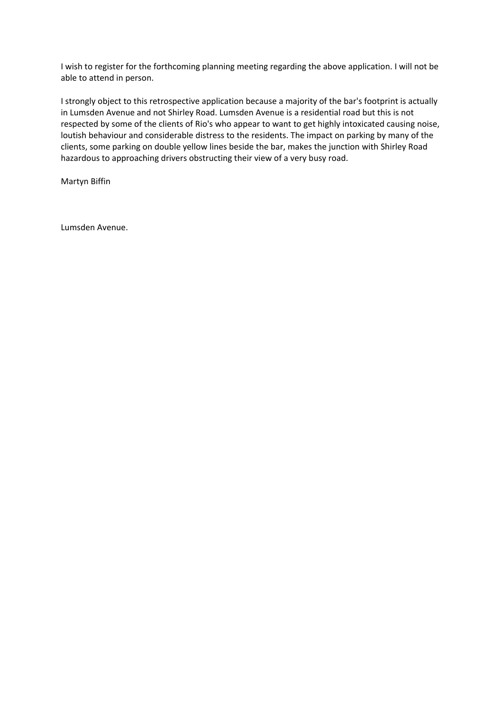I wish to register for the forthcoming planning meeting regarding the above application. I will not be able to attend in person.

I strongly object to this retrospective application because a majority of the bar's footprint is actually in Lumsden Avenue and not Shirley Road. Lumsden Avenue is a residential road but this is not respected by some of the clients of Rio's who appear to want to get highly intoxicated causing noise, loutish behaviour and considerable distress to the residents. The impact on parking by many of the clients, some parking on double yellow lines beside the bar, makes the junction with Shirley Road hazardous to approaching drivers obstructing their view of a very busy road.

Martyn Biffin

Lumsden Avenue.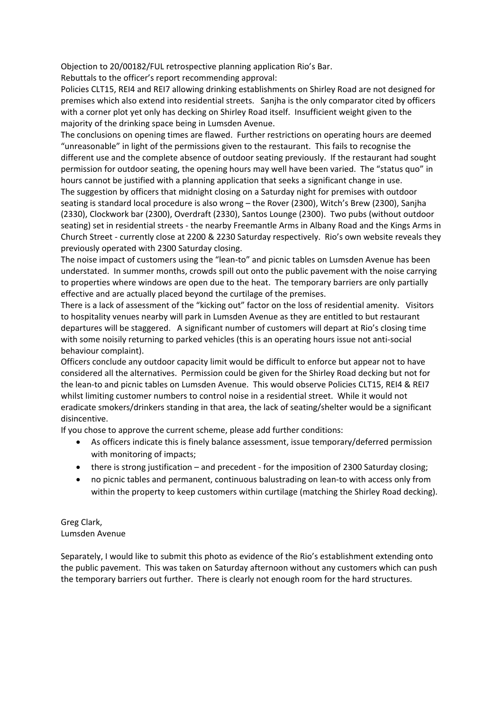Objection to 20/00182/FUL retrospective planning application Rio's Bar.

Rebuttals to the officer's report recommending approval:

Policies CLT15, REI4 and REI7 allowing drinking establishments on Shirley Road are not designed for premises which also extend into residential streets. Sanjha is the only comparator cited by officers with a corner plot yet only has decking on Shirley Road itself. Insufficient weight given to the majority of the drinking space being in Lumsden Avenue.

The conclusions on opening times are flawed. Further restrictions on operating hours are deemed "unreasonable" in light of the permissions given to the restaurant. This fails to recognise the different use and the complete absence of outdoor seating previously. If the restaurant had sought permission for outdoor seating, the opening hours may well have been varied. The "status quo" in hours cannot be justified with a planning application that seeks a significant change in use.

The suggestion by officers that midnight closing on a Saturday night for premises with outdoor seating is standard local procedure is also wrong – the Rover (2300), Witch's Brew (2300), Sanjha (2330), Clockwork bar (2300), Overdraft (2330), Santos Lounge (2300). Two pubs (without outdoor seating) set in residential streets - the nearby Freemantle Arms in Albany Road and the Kings Arms in Church Street - currently close at 2200 & 2230 Saturday respectively. Rio's own website reveals they previously operated with 2300 Saturday closing.

The noise impact of customers using the "lean-to" and picnic tables on Lumsden Avenue has been understated. In summer months, crowds spill out onto the public pavement with the noise carrying to properties where windows are open due to the heat. The temporary barriers are only partially effective and are actually placed beyond the curtilage of the premises.

There is a lack of assessment of the "kicking out" factor on the loss of residential amenity. Visitors to hospitality venues nearby will park in Lumsden Avenue as they are entitled to but restaurant departures will be staggered. A significant number of customers will depart at Rio's closing time with some noisily returning to parked vehicles (this is an operating hours issue not anti-social behaviour complaint).

Officers conclude any outdoor capacity limit would be difficult to enforce but appear not to have considered all the alternatives. Permission could be given for the Shirley Road decking but not for the lean-to and picnic tables on Lumsden Avenue. This would observe Policies CLT15, REI4 & REI7 whilst limiting customer numbers to control noise in a residential street. While it would not eradicate smokers/drinkers standing in that area, the lack of seating/shelter would be a significant disincentive.

If you chose to approve the current scheme, please add further conditions:

- As officers indicate this is finely balance assessment, issue temporary/deferred permission with monitoring of impacts;
- there is strong justification and precedent for the imposition of 2300 Saturday closing;
- no picnic tables and permanent, continuous balustrading on lean-to with access only from within the property to keep customers within curtilage (matching the Shirley Road decking).

Greg Clark, Lumsden Avenue

Separately, I would like to submit this photo as evidence of the Rio's establishment extending onto the public pavement. This was taken on Saturday afternoon without any customers which can push the temporary barriers out further. There is clearly not enough room for the hard structures.